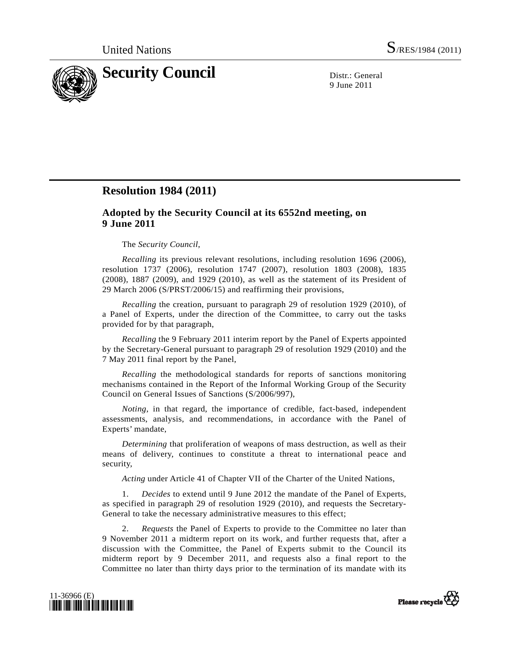

9 June 2011

## **Resolution 1984 (2011)**

## **Adopted by the Security Council at its 6552nd meeting, on 9 June 2011**

## The *Security Council*,

*Recalling* its previous relevant resolutions, including resolution 1696 (2006), resolution 1737 (2006), resolution 1747 (2007), resolution 1803 (2008), 1835 (2008), 1887 (2009), and 1929 (2010), as well as the statement of its President of 29 March 2006 (S/PRST/2006/15) and reaffirming their provisions,

*Recalling* the creation, pursuant to paragraph 29 of resolution 1929 (2010), of a Panel of Experts, under the direction of the Committee, to carry out the tasks provided for by that paragraph,

*Recalling* the 9 February 2011 interim report by the Panel of Experts appointed by the Secretary-General pursuant to paragraph 29 of resolution 1929 (2010) and the 7 May 2011 final report by the Panel,

*Recalling* the methodological standards for reports of sanctions monitoring mechanisms contained in the Report of the Informal Working Group of the Security Council on General Issues of Sanctions (S/2006/997),

*Noting*, in that regard, the importance of credible, fact-based, independent assessments, analysis, and recommendations, in accordance with the Panel of Experts' mandate,

*Determining* that proliferation of weapons of mass destruction, as well as their means of delivery, continues to constitute a threat to international peace and security,

*Acting* under Article 41 of Chapter VII of the Charter of the United Nations,

 1. *Decides* to extend until 9 June 2012 the mandate of the Panel of Experts, as specified in paragraph 29 of resolution 1929 (2010), and requests the Secretary-General to take the necessary administrative measures to this effect;

 2. *Requests* the Panel of Experts to provide to the Committee no later than 9 November 2011 a midterm report on its work, and further requests that, after a discussion with the Committee, the Panel of Experts submit to the Council its midterm report by 9 December 2011, and requests also a final report to the Committee no later than thirty days prior to the termination of its mandate with its